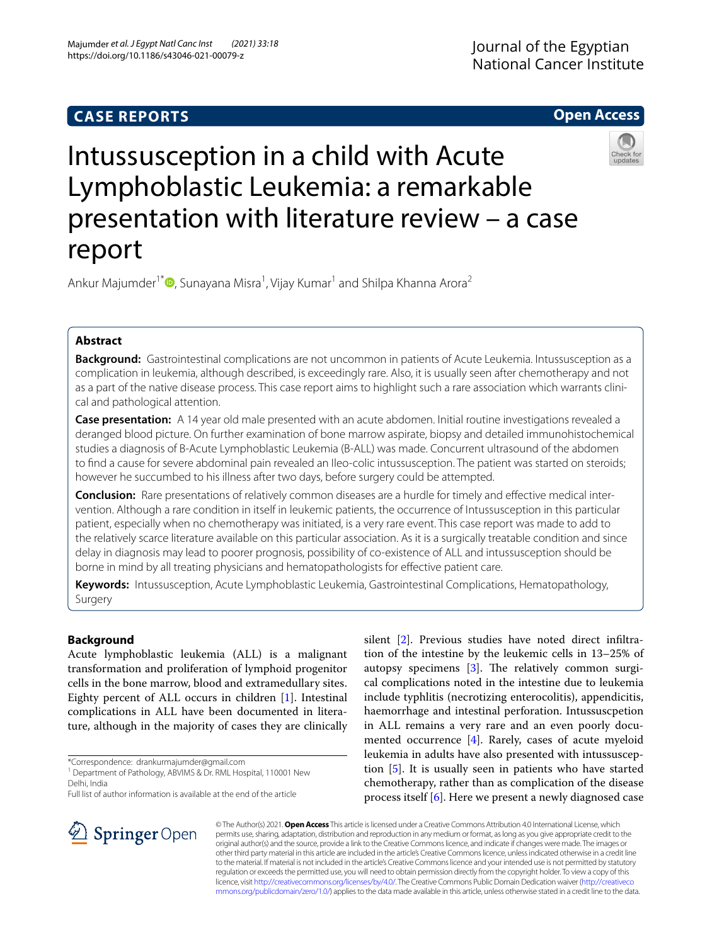## **CASE REPORTS**

## **Open Access**



# Intussusception in a child with Acute Lymphoblastic Leukemia: a remarkable presentation with literature review – a case report

Ankur Majumder<sup>1\*</sup> D[,](http://orcid.org/0000-0002-1869-5416) Sunayana Misra<sup>1</sup>, Vijay Kumar<sup>1</sup> and Shilpa Khanna Arora<sup>2</sup>

## **Abstract**

**Background:** Gastrointestinal complications are not uncommon in patients of Acute Leukemia. Intussusception as a complication in leukemia, although described, is exceedingly rare. Also, it is usually seen after chemotherapy and not as a part of the native disease process. This case report aims to highlight such a rare association which warrants clinical and pathological attention.

**Case presentation:** A 14 year old male presented with an acute abdomen. Initial routine investigations revealed a deranged blood picture. On further examination of bone marrow aspirate, biopsy and detailed immunohistochemical studies a diagnosis of B-Acute Lymphoblastic Leukemia (B-ALL) was made. Concurrent ultrasound of the abdomen to fnd a cause for severe abdominal pain revealed an Ileo-colic intussusception. The patient was started on steroids; however he succumbed to his illness after two days, before surgery could be attempted.

**Conclusion:** Rare presentations of relatively common diseases are a hurdle for timely and efective medical intervention. Although a rare condition in itself in leukemic patients, the occurrence of Intussusception in this particular patient, especially when no chemotherapy was initiated, is a very rare event. This case report was made to add to the relatively scarce literature available on this particular association. As it is a surgically treatable condition and since delay in diagnosis may lead to poorer prognosis, possibility of co-existence of ALL and intussusception should be borne in mind by all treating physicians and hematopathologists for efective patient care.

**Keywords:** Intussusception, Acute Lymphoblastic Leukemia, Gastrointestinal Complications, Hematopathology, Surgery

## **Background**

Acute lymphoblastic leukemia (ALL) is a malignant transformation and proliferation of lymphoid progenitor cells in the bone marrow, blood and extramedullary sites. Eighty percent of ALL occurs in children [[1\]](#page-4-0). Intestinal complications in ALL have been documented in literature, although in the majority of cases they are clinically

\*Correspondence: drankurmajumder@gmail.com

Full list of author information is available at the end of the article

silent [\[2](#page-4-1)]. Previous studies have noted direct infltration of the intestine by the leukemic cells in 13–25% of autopsy specimens  $[3]$  $[3]$  $[3]$ . The relatively common surgical complications noted in the intestine due to leukemia include typhlitis (necrotizing enterocolitis), appendicitis, haemorrhage and intestinal perforation. Intussuscpetion in ALL remains a very rare and an even poorly documented occurrence [[4\]](#page-4-3). Rarely, cases of acute myeloid leukemia in adults have also presented with intussusception [\[5](#page-4-4)]. It is usually seen in patients who have started chemotherapy, rather than as complication of the disease process itself [[6\]](#page-4-5). Here we present a newly diagnosed case



© The Author(s) 2021. **Open Access** This article is licensed under a Creative Commons Attribution 4.0 International License, which permits use, sharing, adaptation, distribution and reproduction in any medium or format, as long as you give appropriate credit to the original author(s) and the source, provide a link to the Creative Commons licence, and indicate if changes were made. The images or other third party material in this article are included in the article's Creative Commons licence, unless indicated otherwise in a credit line to the material. If material is not included in the article's Creative Commons licence and your intended use is not permitted by statutory regulation or exceeds the permitted use, you will need to obtain permission directly from the copyright holder. To view a copy of this licence, visit [http://creativecommons.org/licenses/by/4.0/.](http://creativecommons.org/licenses/by/4.0/) The Creative Commons Public Domain Dedication waiver ([http://creativeco](http://creativecommons.org/publicdomain/zero/1.0/) [mmons.org/publicdomain/zero/1.0/](http://creativecommons.org/publicdomain/zero/1.0/)) applies to the data made available in this article, unless otherwise stated in a credit line to the data.

<sup>&</sup>lt;sup>1</sup> Department of Pathology, ABVIMS & Dr. RML Hospital, 110001 New Delhi, India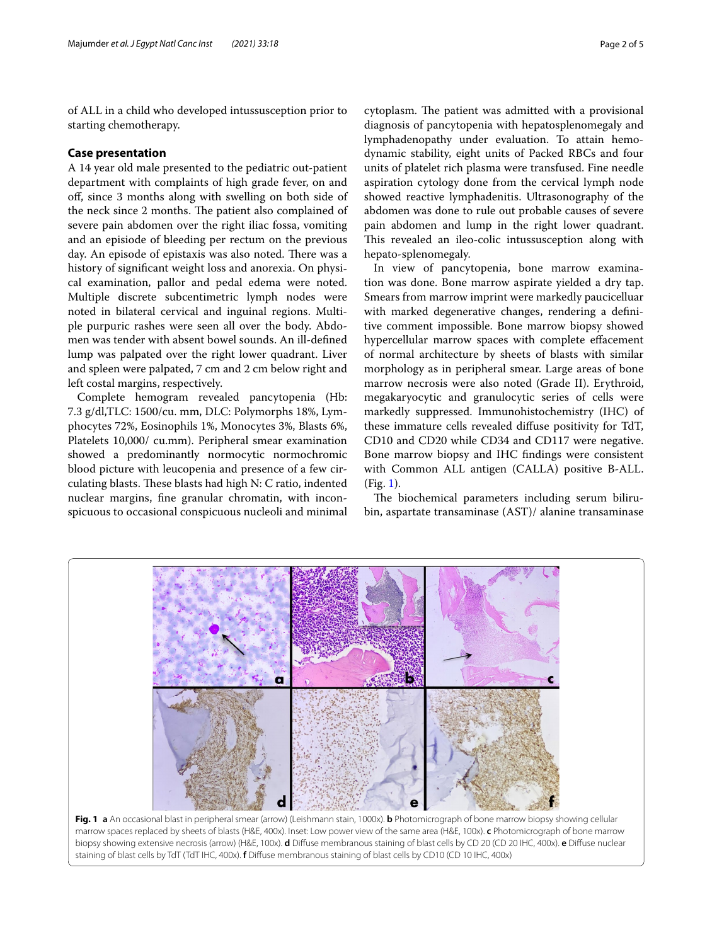of ALL in a child who developed intussusception prior to starting chemotherapy.

#### **Case presentation**

A 14 year old male presented to the pediatric out-patient department with complaints of high grade fever, on and of, since 3 months along with swelling on both side of the neck since 2 months. The patient also complained of severe pain abdomen over the right iliac fossa, vomiting and an episiode of bleeding per rectum on the previous day. An episode of epistaxis was also noted. There was a history of signifcant weight loss and anorexia. On physical examination, pallor and pedal edema were noted. Multiple discrete subcentimetric lymph nodes were noted in bilateral cervical and inguinal regions. Multiple purpuric rashes were seen all over the body. Abdomen was tender with absent bowel sounds. An ill-defned lump was palpated over the right lower quadrant. Liver and spleen were palpated, 7 cm and 2 cm below right and left costal margins, respectively.

Complete hemogram revealed pancytopenia (Hb: 7.3 g/dl,TLC: 1500/cu. mm, DLC: Polymorphs 18%, Lymphocytes 72%, Eosinophils 1%, Monocytes 3%, Blasts 6%, Platelets 10,000/ cu.mm). Peripheral smear examination showed a predominantly normocytic normochromic blood picture with leucopenia and presence of a few circulating blasts. These blasts had high N: C ratio, indented nuclear margins, fne granular chromatin, with inconspicuous to occasional conspicuous nucleoli and minimal

cytoplasm. The patient was admitted with a provisional diagnosis of pancytopenia with hepatosplenomegaly and lymphadenopathy under evaluation. To attain hemodynamic stability, eight units of Packed RBCs and four units of platelet rich plasma were transfused. Fine needle aspiration cytology done from the cervical lymph node showed reactive lymphadenitis. Ultrasonography of the abdomen was done to rule out probable causes of severe pain abdomen and lump in the right lower quadrant. This revealed an ileo-colic intussusception along with hepato-splenomegaly.

In view of pancytopenia, bone marrow examination was done. Bone marrow aspirate yielded a dry tap. Smears from marrow imprint were markedly paucicelluar with marked degenerative changes, rendering a defnitive comment impossible. Bone marrow biopsy showed hypercellular marrow spaces with complete efacement of normal architecture by sheets of blasts with similar morphology as in peripheral smear. Large areas of bone marrow necrosis were also noted (Grade II). Erythroid, megakaryocytic and granulocytic series of cells were markedly suppressed. Immunohistochemistry (IHC) of these immature cells revealed difuse positivity for TdT, CD10 and CD20 while CD34 and CD117 were negative. Bone marrow biopsy and IHC fndings were consistent with Common ALL antigen (CALLA) positive B-ALL. (Fig. [1\)](#page-1-0).

The biochemical parameters including serum bilirubin, aspartate transaminase (AST)/ alanine transaminase



<span id="page-1-0"></span>**Fig. 1 a** An occasional blast in peripheral smear (arrow) (Leishmann stain, 1000x). **b** Photomicrograph of bone marrow biopsy showing cellular marrow spaces replaced by sheets of blasts (H&E, 400x). Inset: Low power view of the same area (H&E, 100x). **c** Photomicrograph of bone marrow biopsy showing extensive necrosis (arrow) (H&E, 100x). **d** Difuse membranous staining of blast cells by CD 20 (CD 20 IHC, 400x). **e** Difuse nuclear staining of blast cells by TdT (TdT IHC, 400x). **f** Difuse membranous staining of blast cells by CD10 (CD 10 IHC, 400x)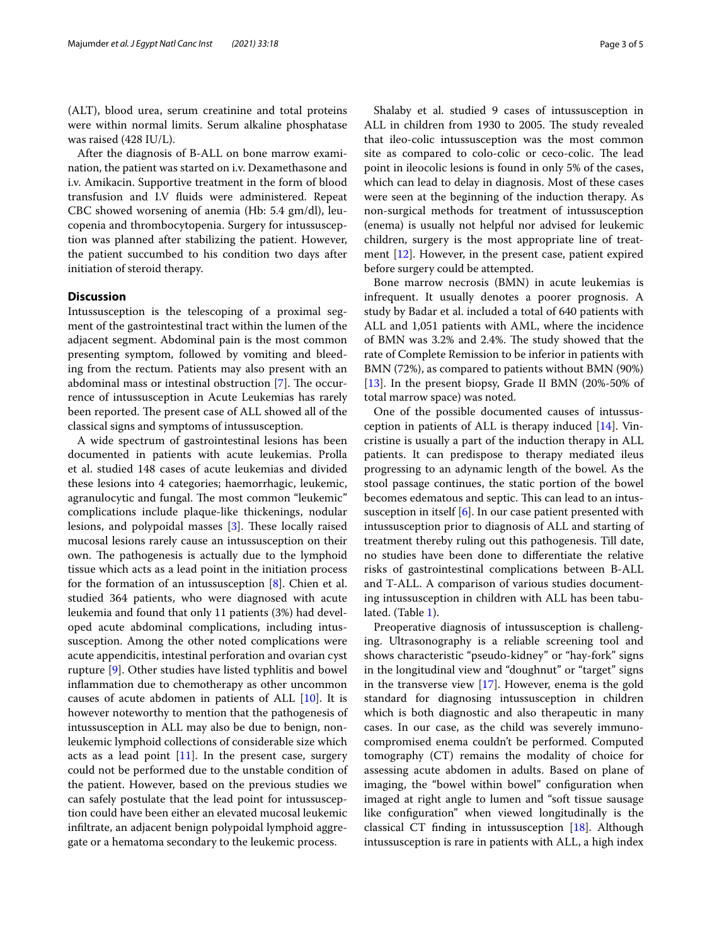(ALT), blood urea, serum creatinine and total proteins were within normal limits. Serum alkaline phosphatase was raised (428 IU/L).

After the diagnosis of B-ALL on bone marrow examination, the patient was started on i.v. Dexamethasone and i.v. Amikacin. Supportive treatment in the form of blood transfusion and I.V fuids were administered. Repeat CBC showed worsening of anemia (Hb: 5.4 gm/dl), leucopenia and thrombocytopenia. Surgery for intussusception was planned after stabilizing the patient. However, the patient succumbed to his condition two days after initiation of steroid therapy.

#### **Discussion**

Intussusception is the telescoping of a proximal segment of the gastrointestinal tract within the lumen of the adjacent segment. Abdominal pain is the most common presenting symptom, followed by vomiting and bleeding from the rectum. Patients may also present with an abdominal mass or intestinal obstruction  $[7]$  $[7]$  $[7]$ . The occurrence of intussusception in Acute Leukemias has rarely been reported. The present case of ALL showed all of the classical signs and symptoms of intussusception.

A wide spectrum of gastrointestinal lesions has been documented in patients with acute leukemias. Prolla et al. studied 148 cases of acute leukemias and divided these lesions into 4 categories; haemorrhagic, leukemic, agranulocytic and fungal. The most common "leukemic" complications include plaque-like thickenings, nodular lesions, and polypoidal masses [\[3](#page-4-2)]. These locally raised mucosal lesions rarely cause an intussusception on their own. The pathogenesis is actually due to the lymphoid tissue which acts as a lead point in the initiation process for the formation of an intussusception [\[8](#page-4-7)]. Chien et al. studied 364 patients, who were diagnosed with acute leukemia and found that only 11 patients (3%) had developed acute abdominal complications, including intussusception. Among the other noted complications were acute appendicitis, intestinal perforation and ovarian cyst rupture [[9\]](#page-4-8). Other studies have listed typhlitis and bowel infammation due to chemotherapy as other uncommon causes of acute abdomen in patients of ALL [\[10](#page-4-9)]. It is however noteworthy to mention that the pathogenesis of intussusception in ALL may also be due to benign, nonleukemic lymphoid collections of considerable size which acts as a lead point [\[11](#page-4-10)]. In the present case, surgery could not be performed due to the unstable condition of the patient. However, based on the previous studies we can safely postulate that the lead point for intussusception could have been either an elevated mucosal leukemic infltrate, an adjacent benign polypoidal lymphoid aggregate or a hematoma secondary to the leukemic process.

Shalaby et al. studied 9 cases of intussusception in ALL in children from 1930 to 2005. The study revealed that ileo-colic intussusception was the most common site as compared to colo-colic or ceco-colic. The lead point in ileocolic lesions is found in only 5% of the cases, which can lead to delay in diagnosis. Most of these cases were seen at the beginning of the induction therapy. As non-surgical methods for treatment of intussusception (enema) is usually not helpful nor advised for leukemic children, surgery is the most appropriate line of treatment [\[12](#page-4-11)]. However, in the present case, patient expired before surgery could be attempted.

Bone marrow necrosis (BMN) in acute leukemias is infrequent. It usually denotes a poorer prognosis. A study by Badar et al. included a total of 640 patients with ALL and 1,051 patients with AML, where the incidence of BMN was 3.2% and 2.4%. The study showed that the rate of Complete Remission to be inferior in patients with BMN (72%), as compared to patients without BMN (90%) [[13\]](#page-4-12). In the present biopsy, Grade II BMN (20%-50% of total marrow space) was noted.

One of the possible documented causes of intussusception in patients of ALL is therapy induced [[14\]](#page-4-13). Vincristine is usually a part of the induction therapy in ALL patients. It can predispose to therapy mediated ileus progressing to an adynamic length of the bowel. As the stool passage continues, the static portion of the bowel becomes edematous and septic. This can lead to an intussusception in itself  $[6]$  $[6]$  $[6]$ . In our case patient presented with intussusception prior to diagnosis of ALL and starting of treatment thereby ruling out this pathogenesis. Till date, no studies have been done to diferentiate the relative risks of gastrointestinal complications between B-ALL and T-ALL. A comparison of various studies documenting intussusception in children with ALL has been tabulated. (Table [1](#page-3-0)).

Preoperative diagnosis of intussusception is challenging. Ultrasonography is a reliable screening tool and shows characteristic "pseudo-kidney" or "hay-fork" signs in the longitudinal view and "doughnut" or "target" signs in the transverse view [\[17](#page-4-14)]. However, enema is the gold standard for diagnosing intussusception in children which is both diagnostic and also therapeutic in many cases. In our case, as the child was severely immunocompromised enema couldn't be performed. Computed tomography (CT) remains the modality of choice for assessing acute abdomen in adults. Based on plane of imaging, the "bowel within bowel" confguration when imaged at right angle to lumen and "soft tissue sausage like confguration" when viewed longitudinally is the classical CT fnding in intussusception [[18\]](#page-4-15). Although intussusception is rare in patients with ALL, a high index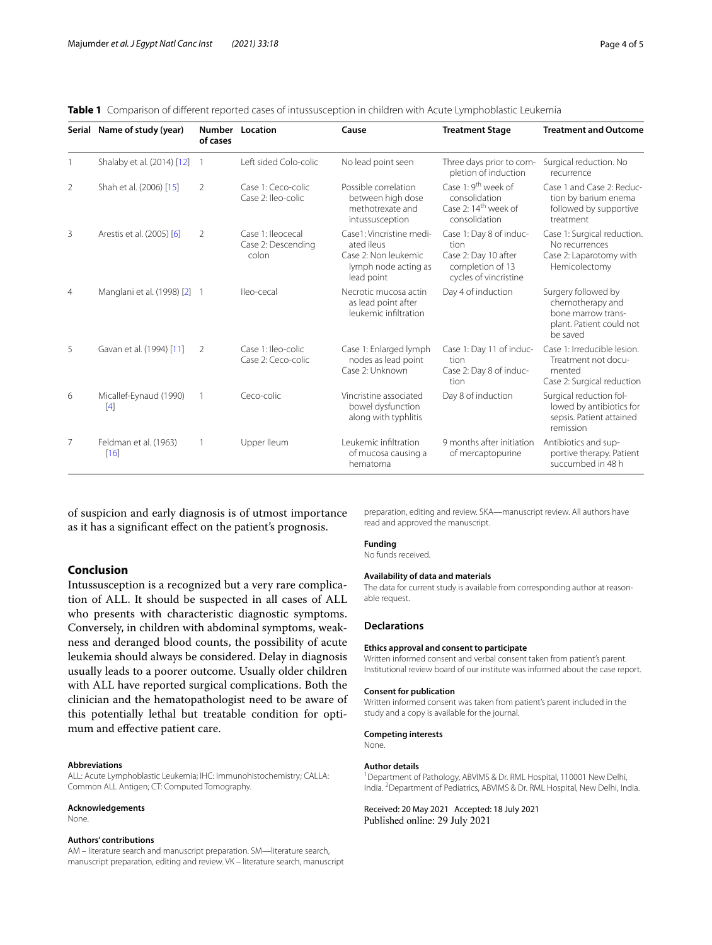|                | Serial Name of study (year)     | <b>Number</b><br>of cases | Location                                         | Cause                                                                                                | <b>Treatment Stage</b>                                                                                | <b>Treatment and Outcome</b>                                                                          |
|----------------|---------------------------------|---------------------------|--------------------------------------------------|------------------------------------------------------------------------------------------------------|-------------------------------------------------------------------------------------------------------|-------------------------------------------------------------------------------------------------------|
|                | Shalaby et al. (2014) [12]      |                           | Left sided Colo-colic                            | No lead point seen                                                                                   | Three days prior to com-<br>pletion of induction                                                      | Surgical reduction. No<br>recurrence                                                                  |
| 2              | Shah et al. (2006) [15]         | 2                         | Case 1: Ceco-colic<br>Case 2: Ileo-colic         | Possible correlation<br>between high dose<br>methotrexate and<br>intussusception                     | Case 1: 9 <sup>th</sup> week of<br>consolidation<br>Case 2: 14 <sup>th</sup> week of<br>consolidation | Case 1 and Case 2: Reduc-<br>tion by barium enema<br>followed by supportive<br>treatment              |
| 3              | Arestis et al. (2005) [6]       | 2                         | Case 1: lleocecal<br>Case 2: Descending<br>colon | Case1: Vincristine medi-<br>ated ileus<br>Case 2: Non leukemic<br>lymph node acting as<br>lead point | Case 1: Day 8 of induc-<br>tion<br>Case 2: Day 10 after<br>completion of 13<br>cycles of vincristine  | Case 1: Surgical reduction.<br>No recurrences<br>Case 2: Laparotomy with<br>Hemicolectomy             |
| $\overline{4}$ | Manglani et al. (1998) [2]      |                           | Ileo-cecal                                       | Necrotic mucosa actin<br>as lead point after<br>leukemic infiltration                                | Day 4 of induction                                                                                    | Surgery followed by<br>chemotherapy and<br>bone marrow trans-<br>plant. Patient could not<br>be saved |
| 5              | Gavan et al. (1994) [11]        | 2                         | Case 1: Ileo-colic<br>Case 2: Ceco-colic         | Case 1: Enlarged lymph<br>nodes as lead point<br>Case 2: Unknown                                     | Case 1: Day 11 of induc-<br>tion<br>Case 2: Day 8 of induc-<br>tion                                   | Case 1: Irreducible lesion.<br>Treatment not docu-<br>mented<br>Case 2: Surgical reduction            |
| 6              | Micallef-Eynaud (1990)<br>$[4]$ |                           | Ceco-colic                                       | Vincristine associated<br>bowel dysfunction<br>along with typhlitis                                  | Day 8 of induction                                                                                    | Surgical reduction fol-<br>lowed by antibiotics for<br>sepsis. Patient attained<br>remission          |
| 7              | Feldman et al. (1963)<br>[16]   |                           | Upper lleum                                      | Leukemic infiltration<br>of mucosa causing a<br>hematoma                                             | 9 months after initiation<br>of mercaptopurine                                                        | Antibiotics and sup-<br>portive therapy. Patient<br>succumbed in 48 h                                 |

<span id="page-3-0"></span>**Table 1** Comparison of diferent reported cases of intussusception in children with Acute Lymphoblastic Leukemia

of suspicion and early diagnosis is of utmost importance as it has a signifcant efect on the patient's prognosis.

#### **Conclusion**

Intussusception is a recognized but a very rare complication of ALL. It should be suspected in all cases of ALL who presents with characteristic diagnostic symptoms. Conversely, in children with abdominal symptoms, weakness and deranged blood counts, the possibility of acute leukemia should always be considered. Delay in diagnosis usually leads to a poorer outcome. Usually older children with ALL have reported surgical complications. Both the clinician and the hematopathologist need to be aware of this potentially lethal but treatable condition for optimum and efective patient care.

#### **Abbreviations**

ALL: Acute Lymphoblastic Leukemia; IHC: Immunohistochemistry; CALLA: Common ALL Antigen; CT: Computed Tomography.

#### **Acknowledgements**

None.

#### **Authors' contributions**

AM – literature search and manuscript preparation. SM—literature search, manuscript preparation, editing and review. VK – literature search, manuscript preparation, editing and review. SKA—manuscript review. All authors have read and approved the manuscript.

#### **Funding**

No funds received.

#### **Availability of data and materials**

The data for current study is available from corresponding author at reasonable request.

#### **Declarations**

#### **Ethics approval and consent to participate**

Written informed consent and verbal consent taken from patient's parent. Institutional review board of our institute was informed about the case report.

#### **Consent for publication**

Written informed consent was taken from patient's parent included in the study and a copy is available for the journal.

#### **Competing interests**

None.

#### **Author details**

<sup>1</sup> Department of Pathology, ABVIMS & Dr. RML Hospital, 110001 New Delhi, India. 2 Department of Pediatrics, ABVIMS & Dr. RML Hospital, New Delhi, India.

Received: 20 May 2021 Accepted: 18 July 2021 Published online: 29 July 2021